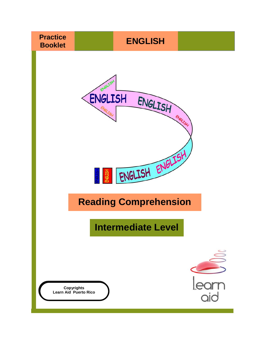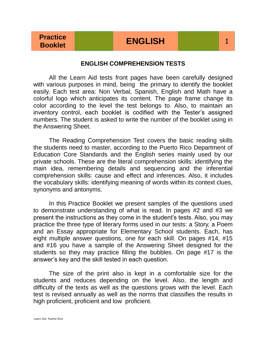#### **ENGLISH COMPREHENSION TESTS**

All the Learn Aid tests front pages have been carefully designed with various purposes in mind, being the primary to identify the booklet easily. Each test area: Non Verbal, Spanish, English and Math have a colorful logo which anticipates its content. The page frame change its color according to the level the test belongs to. Also, to maintain an inventory control, each booklet is codified with the Tester's assigned numbers. The student is asked to write the number of the booklet using in the Answering Sheet.

The Reading Comprehension Test covers the basic reading skills the students need to master, according to the Puerto Rico Department of Education Core Standards and the English series mainly used by our private schools. These are the literal comprehension skills: identifying the main idea, remembering details and sequencing and the inferential comprehension skills: cause and effect and inferences. Also, it includes the vocabulary skills: identifying meaning of words within its context clues, synonyms and antonyms.

In this Practice Booklet we present samples of the questions used to demonstrate understanding of what is read. In pages #2 and #3 we present the instructions as they come in the student's tests. Also, you may practice the three type of literary forms used in our tests: a Story, a Poem and an Essay appropriate for Elementary School students. Each, has eight multiple answer questions, one for each skill. On pages #14, #15 and #16 you have a sample of the Answering Sheet designed for the students so they may practice filling the bubbles. On page #17 is the answer's key and the skill tested in each question.

The size of the print also is kept in a comfortable size for the students and reduces depending on the level. Also, the length and difficulty of the texts as well as the questions grows with the level. Each test is revised annually as well as the norms that classifies the results in high proficient, proficient and low proficient.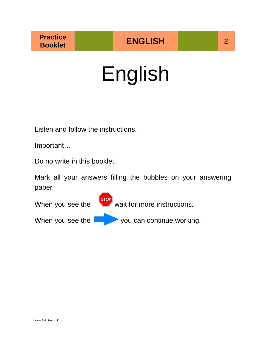# English

Listen and follow the instructions.

Important…

Do no write in this booklet.

Mark all your answers filling the bubbles on your answering paper.

When you see the  $\left\{\frac{\text{stop}}{\text{stop}}\right\}$  wait for more instructions. When you see the  $\sim$  you can continue working.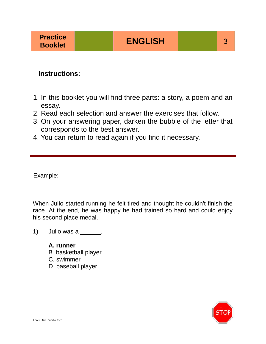#### **Instructions:**

- 1. In this booklet you will find three parts: a story, a poem and an essay.
- 2. Read each selection and answer the exercises that follow.
- 3. On your answering paper, darken the bubble of the letter that corresponds to the best answer.
- 4. You can return to read again if you find it necessary.

Example:

When Julio started running he felt tired and thought he couldn't finish the race. At the end, he was happy he had trained so hard and could enjoy his second place medal.

- 1) Julio was a  $\frac{1}{\sqrt{1-\frac{1}{c^2}}}$ .
	- **A. runner** B. basketball player C. swimmer D. baseball player

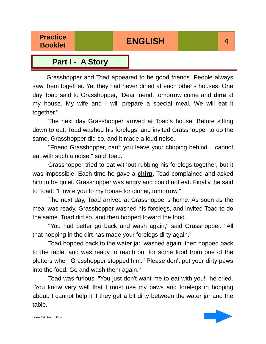### **Booklet ENGLISH** 4

#### **Part I - A Story**

 Grasshopper and Toad appeared to be good friends. People always saw them together. Yet they had never dined at each other's houses. One day Toad said to Grasshopper, "Dear friend, tomorrow come and **dine** at my house. My wife and I will prepare a special meal. We will eat it together."

The next day Grasshopper arrived at Toad's house. Before sitting down to eat, Toad washed his forelegs, and invited Grasshopper to do the same. Grasshopper did so, and it made a loud noise.

"Friend Grasshopper, can't you leave your chirping behind. I cannot eat with such a noise," said Toad.

Grasshopper tried to eat without rubbing his forelegs together, but it was impossible. Each time he gave a **chirp**, Toad complained and asked him to be quiet. Grasshopper was angry and could not eat. Finally, he said to Toad: "I invite you to my house for dinner, tomorrow."

The next day, Toad arrived at Grasshopper's home. As soon as the meal was ready, Grasshopper washed his forelegs, and invited Toad to do the same. Toad did so, and then hopped toward the food.

"You had better go back and wash again," said Grasshopper. "All that hopping in the dirt has made your forelegs dirty again."

Toad hopped back to the water jar, washed again, then hopped back to the table, and was ready to reach out for some food from one of the platters when Grasshopper stopped him: "Please don't put your dirty paws into the food. Go and wash them again."

Toad was furious. "You just don't want me to eat with you!" he cried. "You know very well that I must use my paws and forelegs in hopping about. I cannot help it if they get a bit dirty between the water jar and the table."

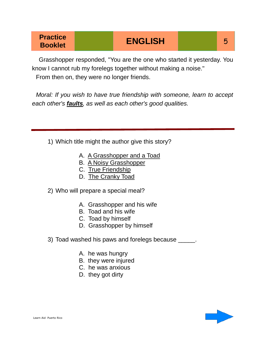### **Practice Booklet** 5<br>**Booklet** 5

 Grasshopper responded, "You are the one who started it yesterday. You know I cannot rub my forelegs together without making a noise." From then on, they were no longer friends.

*Moral: If you wish to have true friendship with someone, learn to accept each other's faults, as well as each other's good qualities.* 

1) Which title might the author give this story?

- A. A Grasshopper and a Toad
- B. A Noisy Grasshopper
- C. True Friendship
- D. The Cranky Toad

2) Who will prepare a special meal?

- A. Grasshopper and his wife
- B. Toad and his wife
- C. Toad by himself
- D. Grasshopper by himself
- 3) Toad washed his paws and forelegs because \_\_\_\_\_.
	- A. he was hungry
	- B. they were injured
	- C. he was anxious
	- D. they got dirty

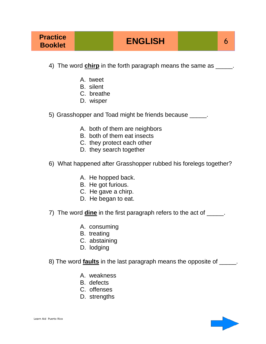- 4) The word **chirp** in the forth paragraph means the same as  $\qquad \qquad$ .
	- A. tweet
	- B. silent
	- C. breathe
	- D. wisper
- 5) Grasshopper and Toad might be friends because \_\_\_\_\_.
	- A. both of them are neighbors
	- B. both of them eat insects
	- C. they protect each other
	- D. they search together
- 6) What happened after Grasshopper rubbed his forelegs together?
	- A. He hopped back.
	- B. He got furious.
	- C. He gave a chirp.
	- D. He began to eat.
- 7) The word **dine** in the first paragraph refers to the act of \_\_\_\_\_.
	- A. consuming
	- B. treating
	- C. abstaining
	- D. lodging
- 8) The word **faults** in the last paragraph means the opposite of \_\_\_\_\_.
	- A. weakness
	- B. defects
	- C. offenses
	- D. strengths

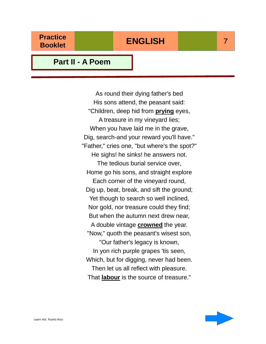#### **Part II - A Poem**

As round their dying father's bed His sons attend, the peasant said: "Children, deep hid from **prying** eyes, A treasure in my vineyard lies; When you have laid me in the grave, Dig, search-and your reward you'll have." "Father," cries one, "but where's the spot?" He sighs! he sinks! he answers not. The tedious burial service over, Home go his sons, and straight explore Each corner of the vineyard round, Dig up, beat, break, and sift the ground; Yet though to search so well inclined, Nor gold, nor treasure could they find; But when the autumn next drew near, A double vintage **crowned** the year. "Now," quoth the peasant's wisest son, "Our father's legacy is known, In yon rich purple grapes 'tis seen, Which, but for digging, never had been. Then let us all reflect with pleasure. That **labour** is the source of treasure."

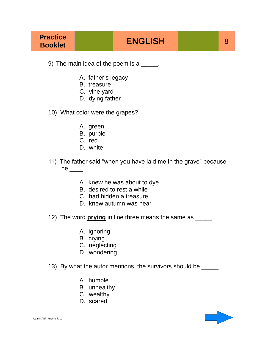- 9) The main idea of the poem is a \_\_\_\_\_.
	- A. father's legacy
	- B. treasure
	- C. vine yard
	- D. dying father
- 10) What color were the grapes?
	- A. green
	- B. purple
	- C. red
	- D. white
- 11) The father said "when you have laid me in the grave" because he  $\_\_\_\_\$ .
	- A. knew he was about to dye
	- B. desired to rest a while
	- C. had hidden a treasure
	- D. knew autumn was near
- 12) The word **prying** in line three means the same as \_\_\_\_\_.
	- A. ignoring
	- B. crying
	- C. neglecting
	- D. wondering
- 13) By what the autor mentions, the survivors should be \_\_\_\_\_.
	- A. humble
	- B. unhealthy
	- C. wealthy
	- D. scared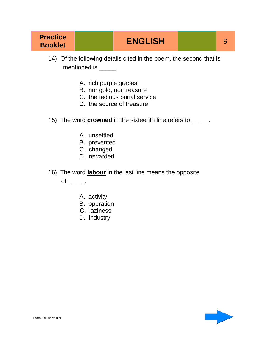### **Booklet ENGLISH**

- 14) Of the following details cited in the poem, the second that is mentioned is \_\_\_\_\_\_.
	- A. rich purple grapes
	- B. nor gold, nor treasure
	- C. the tedious burial service
	- D. the source of treasure
- 15) The word **crowned** in the sixteenth line refers to \_\_\_\_\_.
	- A. unsettled
	- B. prevented
	- C. changed
	- D. rewarded
- 16) The word **labour** in the last line means the opposite

of  $\qquad$ .

- A. activity
- B. operation
- C. laziness
- D. industry

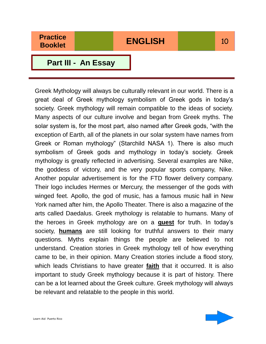**Part III - An Essay**

Greek Mythology will always be culturally relevant in our world. There is a great deal of Greek mythology symbolism of Greek gods in today's society. Greek mythology will remain compatible to the ideas of society. Many aspects of our culture involve and began from Greek myths. The solar system is, for the most part, also named after Greek gods, "with the exception of Earth, all of the planets in our solar system have names from Greek or Roman mythology" (Starchild NASA 1). There is also much symbolism of Greek gods and mythology in today's society. Greek mythology is greatly reflected in advertising. Several examples are Nike, the goddess of victory, and the very popular sports company, Nike. Another popular advertisement is for the FTD flower delivery company. Their logo includes Hermes or Mercury, the messenger of the gods with winged feet. Apollo, the god of music, has a famous music hall in New York named after him, the Apollo Theater. There is also a magazine of the arts called Daedalus. Greek mythology is relatable to humans. Many of the heroes in Greek mythology are on a **quest** for truth. In today's society, **humans** are still looking for truthful answers to their many questions. Myths explain things the people are believed to not understand. Creation stories in Greek mythology tell of how everything came to be, in their opinion. Many Creation stories include a flood story, which leads Christians to have greater **faith** that it occurred. It is also important to study Greek mythology because it is part of history. There can be a lot learned about the Greek culture. Greek mythology will always be relevant and relatable to the people in this world.

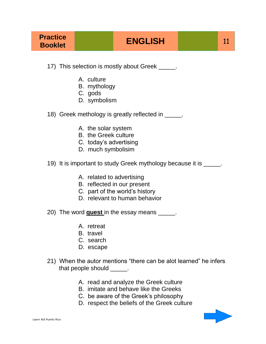17) This selection is mostly about Greek \_\_\_\_\_.

- A. culture
- B. mythology
- C. gods
- D. symbolism
- 18) Greek methology is greatly reflected in Fig.
	- A. the solar system
	- B. the Greek culture
	- C. today's advertising
	- D. much symbolisim
- 19) It is important to study Greek mythology because it is \_\_\_\_\_.
	- A. related to advertising
	- B. reflected in our present
	- C. part of the world's history
	- D. relevant to human behavior
- 20) The word **quest** in the essay means \_\_\_\_\_.
	- A. retreat
	- B. travel
	- C. search
	- D. escape
- 21) When the autor mentions "there can be alot learned" he infers that people should \_\_\_\_\_\_.
	- A. read and analyze the Greek culture
	- B. imitate and behave like the Greeks
	- C. be aware of the Greek's philosophy
	- D. respect the beliefs of the Greek culture

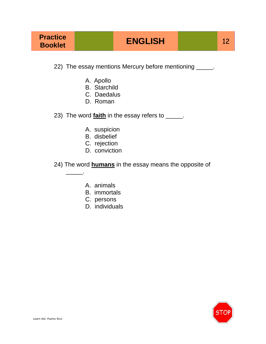22) The essay mentions Mercury before mentioning \_\_\_\_\_.

- A. Apollo
- B. Starchild
- C. Daedalus
- D. Roman
- 23) The word **faith** in the essay refers to \_\_\_\_\_.
	- A. suspicion
	- B. disbelief
	- C. rejection
	- D. conviction
- 24) The word **humans** in the essay means the opposite of
	- A. animals

 $\overline{\phantom{a}}$  ,  $\overline{\phantom{a}}$  ,  $\overline{\phantom{a}}$  ,  $\overline{\phantom{a}}$  ,  $\overline{\phantom{a}}$  ,  $\overline{\phantom{a}}$  ,  $\overline{\phantom{a}}$  ,  $\overline{\phantom{a}}$  ,  $\overline{\phantom{a}}$  ,  $\overline{\phantom{a}}$  ,  $\overline{\phantom{a}}$  ,  $\overline{\phantom{a}}$  ,  $\overline{\phantom{a}}$  ,  $\overline{\phantom{a}}$  ,  $\overline{\phantom{a}}$  ,  $\overline{\phantom{a}}$ 

- B. immortals
- C. persons
- D. individuals

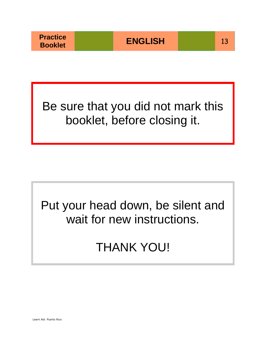Be sure that you did not mark this booklet, before closing it.

# Put your head down, be silent and wait for new instructions.

# THANK YOU!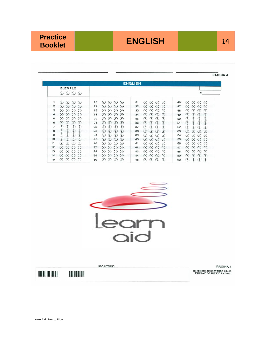**Booklet ENGLISH** 14

|    |                      |                                     |    |     |                            |                        |         | <b>ENGLISH</b> |     |               |                        |                   |    |     |                            |                   |           |
|----|----------------------|-------------------------------------|----|-----|----------------------------|------------------------|---------|----------------|-----|---------------|------------------------|-------------------|----|-----|----------------------------|-------------------|-----------|
|    | <b>EJEMPLO</b>       |                                     |    |     |                            |                        |         |                |     |               |                        |                   |    |     |                            |                   |           |
|    | $\odot$<br>(A)       | $\odot$<br>$\odot$                  |    |     |                            |                        |         |                |     |               |                        |                   |    |     |                            | #                 |           |
| л  | (B)<br>(A)           | $\circ$<br>$\circ$                  | 16 | (A) | (B)                        | $\circ$                | $\circ$ | 31             | (A) | (B)           | $\circ$                | $(\circ)$         | 46 | (A) | $\circ$                    | $\left( c\right)$ | $\circ$   |
| 2  | (B)<br>(A)           | $\circ$<br>$\circ$                  | 17 | (A) | $(\mathbf{B})$             | $\left( \circ \right)$ | $\circ$ | 32             | (A) | $\circled{B}$ | $\circ$                | $\circ$           | 47 | (A) | $\left( \mathbf{B}\right)$ | (c)               | $\circ$   |
| З  | (B)<br>(A)           | $\circ$<br>(c)                      | 18 | (A) | (B)                        | (c)                    | $\circ$ | 33             | (A) | ®)            | $\left( c\right)$      | (D)               | 48 | (A) | (B)                        | $\left($ c        | $\circ$   |
| 4  | (B)<br>(A)           | $\circ$<br>$\left( c\right)$        | 19 | (A) | (B)                        | $\left( c\right)$      | $\circ$ | 34             | (A) | $\circ$       | $\circ$                | $\circ$           | 49 | (A) | (B)                        | (c)               | (D)       |
| 5  | $\circled{B}$<br>(A) | $\circ$<br>$\circ$                  | 20 | (A) | $(B)$                      | $\circ$                | $\circ$ | 35             | (A) | (B)           | (c)                    | $\circ$           | 50 | (A) | $\left( \mathbf{B}\right)$ | (c)               | $(\circ)$ |
| 6  | (B)<br>(A)           | $\left( c\right)$<br>$\circ$        | 21 | (A) | (B)                        | (c)                    | $\circ$ | 36             | (A) | (B)           | $\left( \circ \right)$ | $\circ$           | 51 | (A) | $(\mathbf{B})$             | (c)               | $\circ$   |
| 7  | (B)<br>(A)           | $\circ$<br>$\circ$                  | 22 | (A) | (B)                        | (c)                    | (D)     | 37             | (A) | (B)           | (c)                    | (D)               | 52 | (A) | $\left( \mathbf{B}\right)$ | (c)               | $\circ$   |
| 8  | (B)<br>(A)           | $\circ$<br>$\circ$                  | 23 | (A) | $\left( \mathbf{B}\right)$ | (c)                    | $\circ$ | 38             | (A) | (B)           | $\left( c\right)$      | $\circ$           | 53 | (A) | (B)                        | $\left( c\right)$ | $\circ$   |
| 9  | (B)<br>(A)           | (c)<br>$\circ$                      | 24 | (A) | (B)                        | $\left( \circ \right)$ | $\circ$ | 39             | (A) | $\circledR$   | (c)                    | $\circ$           | 54 | (A) | (B)                        | (c)               | $\circ$   |
| 10 | (A)<br>(B)           | $\left( c\right)$<br>$\circ$        | 25 | (A) | (B)                        | $\left( 0\right)$      | $\circ$ | 40             | (A) | $\circledR$   | $\left( c\right)$      | $\circ$           | 55 | (A) | (B)                        | $\left( c\right)$ | $\circ$   |
| 11 | $\circ$<br>(A)       | $\left( c\right)$<br>$\circledcirc$ | 26 | (A) | (B)                        | (c)                    | $\circ$ | 41             | (A) | (B)           | (c)                    | (D)               | 56 | (A) | (B)                        | (c)               | $\circ$   |
| 12 | $\circ$<br>(A)       | $\circ$<br>$\circ$                  | 27 | (A) | (B)                        | $\circ$                | $\odot$ | 42             | (A) | (B)           | (c)                    | $\left( 0\right)$ | 57 | (A) | (B)                        | (c)               | $\circ$   |
| 13 | (B)<br>(A)           | $\left( \circ \right)$<br>(D)       | 28 | (A) | (B)                        | C)                     | $\circ$ | 43             | (A) | (B)           | $\left( \circ \right)$ | $(\mathsf{D})$    | 58 | (A) | (B)                        | $\circ$           | $\circ$   |
| 14 | (B)<br>(A)           | $\left( c\right)$<br>$(\Box)$       | 29 | (A) | (B)                        | $^{(c)}$               | $\circ$ | 44             | (A) | $\circ$       | $\left( \circ \right)$ | $\circ$           | 59 | (A) | (B)                        | (c)               | (D)       |
| 15 | (B)<br>(A)           | (c)<br>$(\Omega)$                   | 30 | (A) | (B)                        | (c)                    | (D)     | 45             | (A) | (B)           | $\circ$                | $(\circ)$         | 60 | (A) | (B)                        | $\left( c\right)$ | $\circ$   |



**USO INTERNO** PÁGINA 4 **DERECHOS RESERVADOS © 2010<br>LEARN AID OF PUERTO RICO INC.**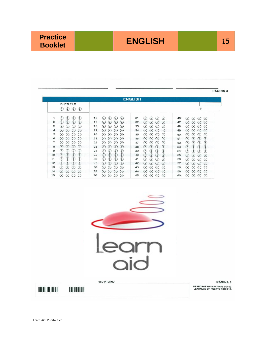### **ENGLISH** 15

|                                                                                                 |                                                                                                                         |                                                                                      | PÁGINA 4                                                                                    |
|-------------------------------------------------------------------------------------------------|-------------------------------------------------------------------------------------------------------------------------|--------------------------------------------------------------------------------------|---------------------------------------------------------------------------------------------|
|                                                                                                 |                                                                                                                         | <b>ENGLISH</b>                                                                       |                                                                                             |
| <b>EJEMPLO</b>                                                                                  |                                                                                                                         |                                                                                      |                                                                                             |
| $\circledcirc \circledcirc \circledcirc$                                                        |                                                                                                                         |                                                                                      | #                                                                                           |
| 1<br>$\circled{A}$<br>$\circ$<br>$\odot$<br>$\odot$                                             | 16<br>$\circledcirc$<br>$\circledcirc$ $\circledcirc$                                                                   | 31<br>$\circledcirc$ $\circledcirc$ $\circledcirc$<br>46                             | $\circledcirc$<br>$\odot$ $\odot$                                                           |
| $\overline{c}$<br>$\circled{A}$<br>$\circledR$<br>$\circ$<br>$\circ$                            | 17<br>$\circled{A}$<br>$\circ$<br>$\circ$<br>$\circ$                                                                    | 32<br>$\odot$<br>$\circled{B}$<br>$\odot$<br>$\circ$<br>47                           | $\odot$<br>$\circledR$<br>$\odot$<br>$\circ$                                                |
| 3<br>(A)<br>(B)<br>$\odot$<br>$\odot$                                                           | 18<br>$\odot$<br>$\circled{A}$<br>$\circled{B}$<br>$\circledcirc$                                                       | ⊛<br>33<br>$\circledcirc$<br>$\odot$<br>$\circledcirc$<br>48                         | ⊛<br>$\circledcirc$<br>$\odot$<br>$\odot$                                                   |
| $\overline{4}$<br>(A)<br>$\circ$<br>$\odot$<br>$\odot$                                          | 19<br>$\circled{A}$<br>$\circled{ }$<br>$\odot$<br>$\odot$                                                              | $\circledR$<br>34<br>$\circledcirc$<br>$\odot$<br>$\odot$<br>49                      | $\odot$<br>$\circled{B}$<br>$\circ$<br>$\circ$                                              |
| $\odot$<br>5<br>$\circ$<br>$\odot$<br>$\odot$<br>6<br>$\Omega$<br>$\odot$<br>$\odot$<br>$\circ$ | 20<br>$\circledR$<br>$\circledcirc$<br>$\odot$<br>$\circ$<br>$\circled{A}$<br>$\circled{B}$<br>$\circ$<br>21<br>$\circ$ | ⊛<br>$\circledR$<br>$\odot$<br>35<br>$\odot$<br>50<br>$\Omega$<br>36<br>(B)<br>51    | $\circledR$<br>$\circledcirc$<br>$\odot$<br>$\odot$                                         |
| $\overline{7}$<br>$\circledR$<br>$\circledR$<br>$\odot$ $\odot$                                 | $\odot$<br>$\circledcirc$<br>$\odot$<br>$\odot$<br>22                                                                   | $\odot$<br>$\odot$<br>$\circledR$<br>$\circled{B}$<br>$\odot$<br>$\odot$<br>37<br>52 | $\odot$<br>$\circledcirc$<br>$\odot$<br>$\odot$<br>$\circledR$<br>$\circledcirc$<br>$\odot$ |
| 8<br>$(A)$ $(B)$ $(C)$ $(D)$                                                                    | 23<br>$\Omega$<br>$\circ$<br>$\odot$<br>$\circ$                                                                         | $\odot$<br>$\circledcirc$<br>$\odot$<br>$\odot$<br>38<br>53                          | $\odot$<br>$\odot$<br>$\circledcirc$<br>$\odot$<br>$\odot$                                  |
| 9<br>$\circledR$<br>$\circ$<br>$\odot$<br>$\circ$                                               | 24<br>$\odot$<br>(B)<br>$\odot$<br>$\odot$                                                                              | $\circledcirc$<br>$\odot$ $\odot$<br>39<br>$\circled{a}$<br>54                       | $\circledcirc$<br>$\circledcirc$<br>$\odot$<br>$\odot$                                      |
| $\bigcirc$<br>$\odot$<br>$\odot$<br>10<br>(B)                                                   | $\odot$<br>$\odot$<br>25<br>$\circledcirc$<br>$\odot$                                                                   | 40<br>$\odot$<br>$\circledR$<br>$\odot$<br>$\odot$<br>55                             | $\circledcirc$<br>$\odot$<br>$\odot$<br>$\odot$                                             |
| ⊛<br>$\circledcirc$<br>$\odot$<br>$\odot$<br>11                                                 | 26<br>$\circledcirc$<br>$\circledcirc$<br>$\odot$<br>$\odot$                                                            | $\circledR$<br>$\circledcirc$<br>$\odot$<br>$\odot$<br>41<br>56                      | ⊛<br>$\circledcirc$<br>$\odot$<br>$\circledcirc$                                            |
| $\odot$ $\odot$<br>12<br>$\circledcirc$<br>$\circ$                                              | 27<br>$\odot$<br>$\circledR$<br>$\odot$<br>$\odot$                                                                      | $\circ$<br>42<br>$\circled{A}$<br>$(B)$ $(C)$<br>57                                  | $\odot$<br>$\circled{B}$<br>$\odot$<br>$\odot$                                              |
| ᠗<br>$\odot$<br>$\odot$<br>13<br>$\circledR$                                                    | 28<br>$\odot$<br>$\circledR$<br>$\odot$<br>$\odot$                                                                      | 43<br>$\circledR$<br>$\odot$<br>$\circled{B}$<br>$\circledcirc$<br>58                | $\circledR$<br>$\circledcirc$<br>$\odot$<br>$\circledcirc$                                  |
| $\circledR$<br>$\odot$ $\odot$<br>14<br>$\circ$                                                 | 29<br>$\odot$<br>$\circledR$<br>$\odot$<br>$\odot$                                                                      | $\bigcirc$<br>$\odot$<br>44<br>$\circ$<br>$\odot$<br>59                              | $\odot$<br>$\circledcirc$<br>$\odot$ $\odot$                                                |
| $\circ$<br>$\circledcirc$ $\circledcirc$<br>15<br>$\circ$                                       | $\circledR$<br>30<br>$\odot$<br>$\odot$<br>$\circledcirc$                                                               | 45<br>$\circled{A}$<br>$\circledcirc$<br>$\odot$<br>$\circledcirc$<br>60             | $\circledR$<br>$\circledcirc$<br>$\odot$ $\odot$                                            |
|                                                                                                 |                                                                                                                         |                                                                                      |                                                                                             |
|                                                                                                 |                                                                                                                         |                                                                                      |                                                                                             |
|                                                                                                 |                                                                                                                         |                                                                                      |                                                                                             |
|                                                                                                 |                                                                                                                         |                                                                                      |                                                                                             |
|                                                                                                 |                                                                                                                         |                                                                                      |                                                                                             |
|                                                                                                 |                                                                                                                         |                                                                                      |                                                                                             |
|                                                                                                 |                                                                                                                         |                                                                                      |                                                                                             |
|                                                                                                 |                                                                                                                         |                                                                                      |                                                                                             |
|                                                                                                 | <b>USO INTERNO</b>                                                                                                      |                                                                                      | <b>PÁGINA 4</b>                                                                             |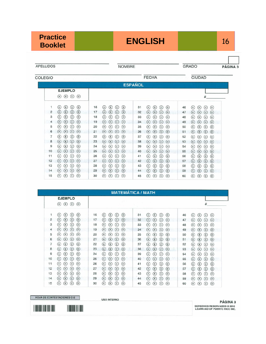## **Booklet ENGLISH** 16

PÁGINA 3

APELLIDOS

**NOMBRE** 

GRADO

COLEGIO

| LEGIO          |                                                                   |                                                                                     | <b>FECHA</b>                                                              | <b>CIUDAD</b>                                                           |
|----------------|-------------------------------------------------------------------|-------------------------------------------------------------------------------------|---------------------------------------------------------------------------|-------------------------------------------------------------------------|
|                |                                                                   | <b>ESPAÑOL</b>                                                                      |                                                                           |                                                                         |
|                | <b>EJEMPLO</b>                                                    |                                                                                     |                                                                           |                                                                         |
|                | $\odot$<br>$\circledcirc$<br>$\odot$<br>(A)                       |                                                                                     |                                                                           | #                                                                       |
| 1              | $\circledcirc$<br>(B)<br>$\rm ^{(c)}$<br>(A)                      | 16<br>$^\circledcirc$<br>$\circled{\scriptstyle\tt}$<br>(c)<br>(A)                  | 31<br>⊚<br>$(\mathsf{B})$<br>(A)<br>(c)                                   | 46<br>$\circ$<br>$\circledcirc$<br>(A)<br>(B)                           |
| $\overline{2}$ | $\circledcirc$<br>$\circled{B}$<br>$\odot$<br>(A)                 | ⊚<br>17<br>$\circled{\scriptstyle\tt}$<br>(c)<br>(A)                                | 32<br>$\circledcirc$<br>(A)<br>$(\mathsf{B})$<br>(c)                      | 47<br>$(\circ)$<br>$(\mathsf{B})$<br>(c)<br>(A)                         |
| 3              | $\circ$<br>$\circledcirc$<br>$\circled{B}$<br>(A)                 | $\circledcirc$<br>18<br>$\left( \mathbf{B}\right)$<br>(c)<br>(A)                    | 33<br>$\circledcirc$<br>$(\mathbf{B})$<br>(c)<br>(A)                      | 48<br>$(\circ)$<br>(A)<br>$(\mathbf{B})$<br>$\left( \circ \right)$      |
| $\overline{4}$ | $(\mathbf{B})$<br>$\left( \circ \right)$<br>$\circ$<br>(A)        | $\circledcirc$<br>19<br>$\left( \mathbf{B}\right)$<br>(A)<br>$^{(c)}$               | 34<br>$\circ$<br>(A)<br>(B)<br>(c)                                        | 49<br>$(\mathbf{B})$<br>$\left( \circ \right)$<br>$\circledcirc$<br>(A) |
| 5              | $\circledast$<br>$\left($ c)<br>$\circ$<br>(A)                    | $\circ$<br>20<br>(B)<br>(A)<br>(c)                                                  | 35<br>$\circ$<br>(A)<br>(B)<br>(c)                                        | 50<br>$\circledast$<br>$\circledcirc$<br>(A)<br>$^{(c)}$                |
| 6              | $(B)$<br>(c)<br>$\circ$<br>(A)                                    | $\circ$<br>21<br>$(\mathsf{B})$<br>(c)<br>(A)                                       | $\circ$<br>36<br>(A)<br>(B)<br>$^{(c)}$                                   | $\circledcirc$<br>51<br>(A)<br>(B)<br>$\circ$                           |
| 7              | $\odot$<br>(B)<br>(c)<br>(A)                                      | $^{\circ}$<br>22<br>$\left( \mathbf{B}\right)$<br>$^{(c)}$<br>(A)                   | 37<br>$\circledcirc$<br>(в)<br>(A)<br>(c)                                 | 52<br>$(\circ)$<br>(B)<br>(A)<br>(c)                                    |
| 8              | $\circ$<br>$\circledast$<br>$\epsilon$<br>(A)                     | 23<br>$\circ$<br>(B)<br>(A)<br>(c)                                                  | 38<br>$\circ$<br>(A)<br>(B)<br>(c)                                        | 53<br>$\circledcirc$<br>(A)<br>(B)<br>(c)                               |
| 9              | $\circled{B}$<br>$^{(c)}$<br>$\circ$<br>(A)                       | $\circledcirc$<br>24<br>(B)<br>(A)<br>$^{(c)}$                                      | 39<br>$^{\circ}$<br>$(\mathbf{B})$<br>(A)<br>(c)                          | 54<br>(B)<br>$(\circ)$<br>(A)<br>(c)                                    |
| 10             | (B)<br>(c)<br>$\circ$<br>(A)                                      | $\circledcirc$<br>25<br>$(\mathsf{B})$<br>(c)<br>(A)                                | $\circ$<br>40<br>(A)<br>(B)<br>(c)                                        | 55<br>(B)<br>$\circ$<br>(A)<br>(c)                                      |
| 11             | $\circled{B}$<br>$\circledcirc$<br>(A)<br>$^{(c)}$                | 26<br>$\circledcirc$<br>$\left( \mathbf{B}\right)$<br>(A)<br>(c)                    | ⊚<br>41<br>$(\mathsf{B})$<br>(A)<br>$\left( \circ \right)$                | 56<br>$\circledast$<br>$\circled{c}$<br>$\circledcirc$<br>(A)           |
| 12             | $\circ$<br>(A)<br>(B)<br>(c)                                      | $\circ$<br>27<br>(A)<br>$\left( \mathbf{B}\right)$<br>(c)                           | $\circledcirc$<br>42<br>(A)<br>(B)<br>(c)                                 | $\circledcirc$<br>57<br>$\circledR$<br>(c)<br>(A)                       |
| 13             | $(\mathbf{B})$<br>$\left( c\right)$<br>$\circ$<br>(A)             | ⊚<br>28<br>$(\mathbf{B})$<br>(A)<br>(c)                                             | ⊚<br>43<br>$\circledast$<br>(A)<br>(c)                                    | $\circledast$<br>58<br>(A)<br>(c)<br>$\circledcirc$                     |
| 14             | $\circledcirc$<br>$(\mathbf{B})$<br>$\circ$<br>(A)                | $\circledcirc$<br>29<br>$\circled{\scriptstyle{\mathrm{B}}}$<br>(A)<br>$^{(\rm c)}$ | $\circledcirc$<br>44<br>(A)<br>$\left( \mathsf{B}\right)$<br>$^{(\rm c)}$ | 59<br>A)<br>$\circledast$<br>$\circled{c}$<br>$\circ$                   |
| 15             | $\circled{\scriptstyle\circ}$<br>$\circledcirc$<br>$\circ$<br>(A) | 30<br>$\left( \mathbf{B}\right)$<br>$\circledcirc$<br>(A)<br>$_{\rm (c)}$           | 45<br>⊚<br>(A)<br>(B)<br>$_{\rm (c)}$                                     | 60<br>$\left( \mathbf{B}\right)$<br>$\left( c\right)$<br>$\circ$<br>(A) |

|                |                                     |    | <b>MATEMÁTICA / MATH</b>       |    |                                             |                                                             |
|----------------|-------------------------------------|----|--------------------------------|----|---------------------------------------------|-------------------------------------------------------------|
|                | <b>EJEMPLO</b>                      |    |                                |    |                                             |                                                             |
|                | (B)<br>$\circ$<br>$\circ$<br>(A)    |    |                                |    |                                             | #                                                           |
|                | $\circ$<br>(c)<br>(B)<br>(A)        | 16 | (c)<br>(B)<br>(D)<br>(A)       | 31 | (B)<br>(c)<br>(D)<br>(A)                    | (B)<br>46<br>(A)<br>(c)<br>(D)                              |
| $\overline{2}$ | $(\circ)$<br>(c)<br>(B)<br>(A)      | 17 | (D)<br>(c)<br>(B)<br>(A)       | 32 | (B)<br>(c)<br>$\circ$<br>(A)                | 47<br>$(\circ)$<br>(B)<br>(A)<br>$\left( \mathrm{c}\right)$ |
| 3              | (D)<br>(B)<br>(c)<br>(A)            | 18 | $\circ$<br>(B)<br>(c)<br>(A)   | 33 | $(\mathbf{B})$<br>(c)<br>(D)<br>(A)         | 48<br>(B)<br>(D)<br>(A)<br>$\left( c\right)$                |
| $\overline{4}$ | (B)<br>(c)<br>$(\circ)$<br>(A)      | 19 | (B)<br>(c)<br>(A)<br>$(\circ)$ | 34 | (c)<br>(A)<br>$(\mathbf{B})$<br>$(\circ)$   | 49<br>(B)<br>(c)<br>$(\circ)$<br>(A)                        |
| 5              | $(\mathbf{B})$<br>(D)<br>(c)<br>(A) | 20 | (B)<br>(c)<br>(D)<br>(A)       | 35 | (B)<br>(c)<br>$\circ$<br>(A)                | 50<br>(B)<br>$\circ$<br>(A)<br>(c)                          |
| 6              | $(\circ)$<br>(B)<br>(c)<br>(A)      | 21 | (A)<br>(c)<br>(D)<br>(B)       | 36 | $\circ$<br>(B)<br>$\circ$<br>(A)            | 51<br>(B)<br>$\circledcirc$<br>(A)<br>(c)                   |
| 7              | $\circ$<br>(B)<br>$^{(c)}$<br>(A)   | 22 | (c)<br>(D)<br>(A)<br>(B)       | 37 | $\odot$<br>$\circ$<br>(A)<br>(c)            | 52<br>$(\circ)$<br>(A)<br>(B)<br>(c)                        |
| 8              | $(\circ)$<br>(B)<br>$^{(c)}$<br>(A) | 23 | $\circ$<br>(A)<br>(B)<br>(c)   | 38 | $\circ$<br>(B)<br>$\circ$<br>(A)            | 53<br>(A)<br>(B)<br>$\circ$<br>(c)                          |
| 9              | $\circ$<br>(B)<br>(c)<br>(A)        | 24 | (D)<br>(B)<br>(c)<br>(A)       | 39 | (D)<br>(B)<br>(c)<br>(A)                    | 54<br>(D)<br>(A)<br>(B)<br>(c)                              |
| 10             | (D)<br>(B)<br>(c)<br>(A)            | 25 | (0)<br>(B)<br>(c)<br>(A)       | 40 | (c)<br>$(\circ)$<br>(B)<br>(A)              | $\circledcirc$<br>55<br>(A)<br>(B)<br>(c)                   |
| 11             | $(\circ)$<br>(B)<br>(c)<br>(A)      | 26 | (c)<br>$(\Box)$<br>(B)<br>(A)  | 41 | (c)<br>(B)<br>(D)<br>(A)                    | 56<br>(B)<br>(c)<br>$(\mathsf{D})$<br>(A)                   |
| 12             | $(\circ)$<br>(B)<br>(c)<br>(A)      | 27 | (c)<br>$\circ$<br>(B)<br>(A)   | 42 | (B)<br>(c)<br>$\circ$<br>(A)                | 57<br>$\circledcirc$<br>(A)<br>(B)<br>(c)                   |
| 13             | $(\circ)$<br>(B)<br>(c)<br>(A)      | 28 | (c)<br>(B)<br>(D)<br>(A)       | 43 | $\circled{B}$<br>$\circ$<br>$\circ$<br>(A)  | 58<br>(B)<br>(c)<br>$\circ$<br>(A)                          |
| 14             | $\circ$<br>(B)<br>(c)<br>(A)        | 29 | (B)<br>(c)<br>$(\circ)$<br>(A) | 44 | $(B)$<br>$\circ$<br>(c)<br>(A)              | 59<br>$\circ$<br>(A)<br>(B)<br>$\left( c\right)$            |
| 15             | (D)<br>(B)<br>$_{\odot}$<br>(A)     | 30 | (B)<br>(c)<br>$(\circ)$<br>(A) | 45 | (B)<br>(0)<br>$\left( \circ \right)$<br>(A) | 60<br>(A)<br>(B)<br>(D)<br>(c)                              |

HOJA DE CONTESTACIONES C-2

**USO INTERNO** 

PÁGINA<sub>3</sub> DERECHOS RESERVADOS @ 2010<br>LEARN AID OF PUERTO RICO INC.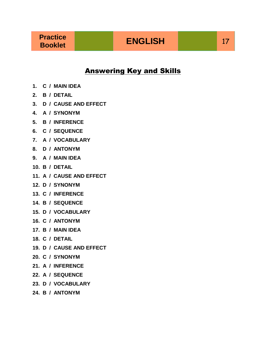#### Answering Key and Skills

- **1. C / MAIN IDEA**
- **2. B / DETAIL**
- **3. D / CAUSE AND EFFECT**
- **4. A / SYNONYM**
- **5. B / INFERENCE**
- **6. C / SEQUENCE**
- **7. A / VOCABULARY**
- **8. D / ANTONYM**
- **9. A / MAIN IDEA**
- **10. B / DETAIL**
- **11. A / CAUSE AND EFFECT**
- **12. D / SYNONYM**
- **13. C / INFERENCE**
- **14. B / SEQUENCE**
- **15. D / VOCABULARY**
- **16. C / ANTONYM**
- **17. B / MAIN IDEA**
- **18. C / DETAIL**
- **19. D / CAUSE AND EFFECT**
- **20. C / SYNONYM**
- **21. A / INFERENCE**
- **22. A / SEQUENCE**
- **23. D / VOCABULARY**
- **24. B / ANTONYM**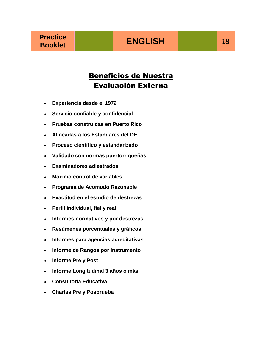### Beneficios de Nuestra Evaluación Externa

- **Experiencia desde el 1972**
- **Servicio confiable y confidencial**
- **Pruebas construidas en Puerto Rico**
- **Alineadas a los Estándares del DE**
- **Proceso científico y estandarizado**
- **Validado con normas puertorriqueñas**
- **Examinadores adiestrados**
- **Máximo control de variables**
- **Programa de Acomodo Razonable**
- **Exactitud en el estudio de destrezas**
- **Perfil individual, fiel y real**
- **Informes normativos y por destrezas**
- **Resúmenes porcentuales y gráficos**
- **Informes para agencias acreditativas**
- **Informe de Rangos por Instrumento**
- **Informe Pre y Post**
- **Informe Longitudinal 3 años o más**
- **Consultoría Educativa**
- **Charlas Pre y Posprueba**